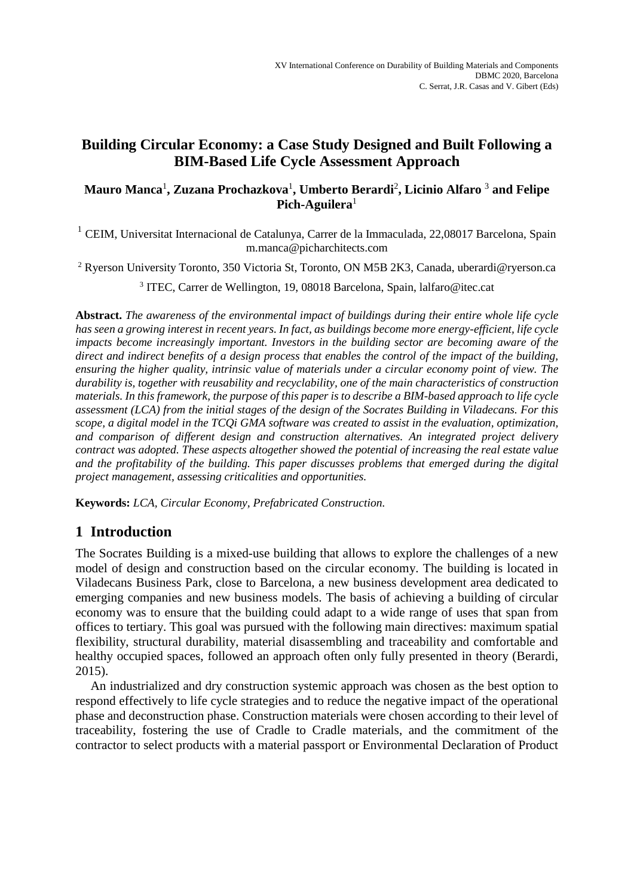# **Building Circular Economy: a Case Study Designed and Built Following a BIM-Based Life Cycle Assessment Approach**

## **Mauro Manca**<sup>1</sup> **, Zuzana Prochazkova**<sup>1</sup> **, Umberto Berardi**<sup>2</sup> **, Licinio Alfaro** <sup>3</sup> **and Felipe Pich-Aguilera**<sup>1</sup>

<sup>1</sup> CEIM, Universitat Internacional de Catalunya, Carrer de la Immaculada, 22,08017 Barcelona, Spain m.manca@picharchitects.com

<sup>2</sup> Ryerson University Toronto, 350 Victoria St, Toronto, ON M5B 2K3, Canada, uberardi@ryerson.ca

<sup>3</sup> ITEC, Carrer de Wellington, 19, 08018 Barcelona, Spain, lalfaro@itec.cat

**Abstract.** *The awareness of the environmental impact of buildings during their entire whole life cycle has seen a growing interest in recent years. In fact, as buildings become more energy-efficient, life cycle impacts become increasingly important. Investors in the building sector are becoming aware of the direct and indirect benefits of a design process that enables the control of the impact of the building, ensuring the higher quality, intrinsic value of materials under a circular economy point of view. The durability is, together with reusability and recyclability, one of the main characteristics of construction materials. In this framework, the purpose of this paper is to describe a BIM-based approach to life cycle assessment (LCA) from the initial stages of the design of the Socrates Building in Viladecans. For this scope, a digital model in the TCQi GMA software was created to assist in the evaluation, optimization, and comparison of different design and construction alternatives. An integrated project delivery contract was adopted. These aspects altogether showed the potential of increasing the real estate value and the profitability of the building. This paper discusses problems that emerged during the digital project management, assessing criticalities and opportunities.*

**Keywords:** *LCA, Circular Economy, Prefabricated Construction.*

# **1 Introduction**

The Socrates Building is a mixed-use building that allows to explore the challenges of a new model of design and construction based on the circular economy. The building is located in Viladecans Business Park, close to Barcelona, a new business development area dedicated to emerging companies and new business models. The basis of achieving a building of circular economy was to ensure that the building could adapt to a wide range of uses that span from offices to tertiary. This goal was pursued with the following main directives: maximum spatial flexibility, structural durability, material disassembling and traceability and comfortable and healthy occupied spaces, followed an approach often only fully presented in theory (Berardi, 2015).

An industrialized and dry construction systemic approach was chosen as the best option to respond effectively to life cycle strategies and to reduce the negative impact of the operational phase and deconstruction phase. Construction materials were chosen according to their level of traceability, fostering the use of Cradle to Cradle materials, and the commitment of the contractor to select products with a material passport or Environmental Declaration of Product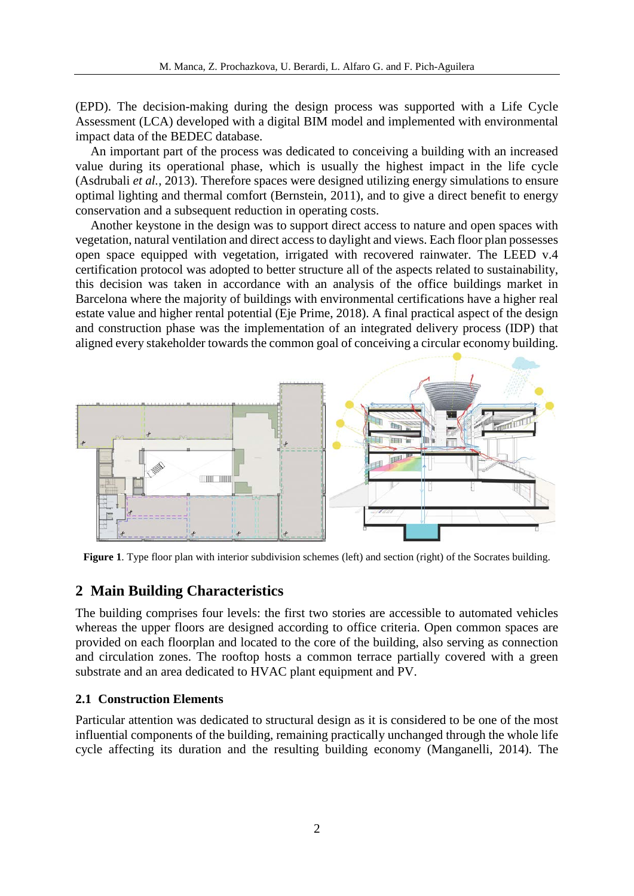(EPD). The decision-making during the design process was supported with a Life Cycle Assessment (LCA) developed with a digital BIM model and implemented with environmental impact data of the BEDEC database.

An important part of the process was dedicated to conceiving a building with an increased value during its operational phase, which is usually the highest impact in the life cycle (Asdrubali *et al.*, 2013). Therefore spaces were designed utilizing energy simulations to ensure optimal lighting and thermal comfort (Bernstein, 2011), and to give a direct benefit to energy conservation and a subsequent reduction in operating costs.

Another keystone in the design was to support direct access to nature and open spaces with vegetation, natural ventilation and direct access to daylight and views. Each floor plan possesses open space equipped with vegetation, irrigated with recovered rainwater. The LEED v.4 certification protocol was adopted to better structure all of the aspects related to sustainability, this decision was taken in accordance with an analysis of the office buildings market in Barcelona where the majority of buildings with environmental certifications have a higher real estate value and higher rental potential (Eje Prime, 2018). A final practical aspect of the design and construction phase was the implementation of an integrated delivery process (IDP) that aligned every stakeholder towards the common goal of conceiving a circular economy building.



**Figure 1**. Type floor plan with interior subdivision schemes (left) and section (right) of the Socrates building.

#### **2 Main Building Characteristics**

The building comprises four levels: the first two stories are accessible to automated vehicles whereas the upper floors are designed according to office criteria. Open common spaces are provided on each floorplan and located to the core of the building, also serving as connection and circulation zones. The rooftop hosts a common terrace partially covered with a green substrate and an area dedicated to HVAC plant equipment and PV.

#### **2.1 Construction Elements**

Particular attention was dedicated to structural design as it is considered to be one of the most influential components of the building, remaining practically unchanged through the whole life cycle affecting its duration and the resulting building economy (Manganelli, 2014). The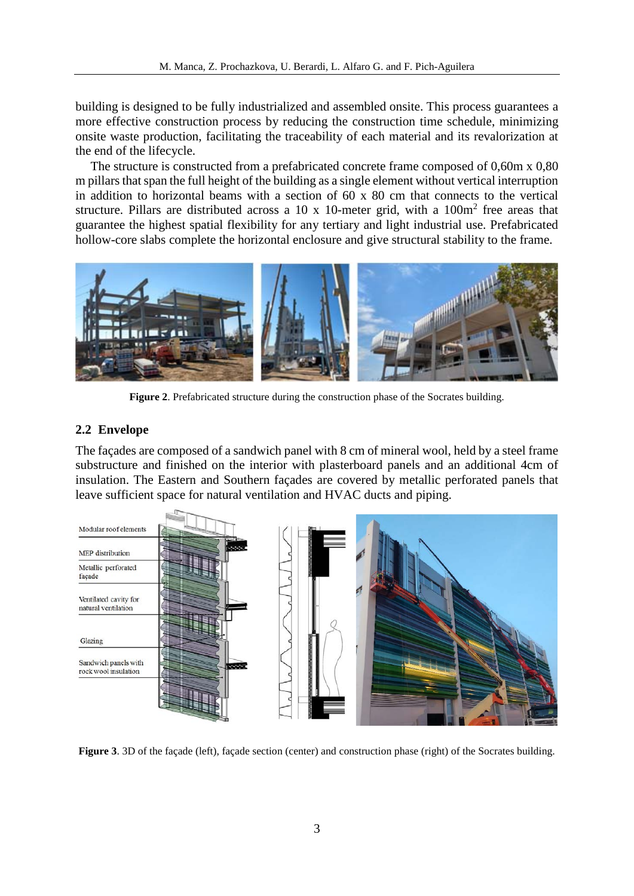building is designed to be fully industrialized and assembled onsite. This process guarantees a more effective construction process by reducing the construction time schedule, minimizing onsite waste production, facilitating the traceability of each material and its revalorization at the end of the lifecycle.

The structure is constructed from a prefabricated concrete frame composed of 0,60m x 0,80 m pillars that span the full height of the building as a single element without vertical interruption in addition to horizontal beams with a section of 60 x 80 cm that connects to the vertical structure. Pillars are distributed across a 10 x 10-meter grid, with a  $100m<sup>2</sup>$  free areas that guarantee the highest spatial flexibility for any tertiary and light industrial use. Prefabricated hollow-core slabs complete the horizontal enclosure and give structural stability to the frame.



**Figure 2**. Prefabricated structure during the construction phase of the Socrates building.

#### **2.2 Envelope**

The façades are composed of a sandwich panel with 8 cm of mineral wool, held by a steel frame substructure and finished on the interior with plasterboard panels and an additional 4cm of insulation. The Eastern and Southern façades are covered by metallic perforated panels that leave sufficient space for natural ventilation and HVAC ducts and piping.



**Figure 3**. 3D of the façade (left), façade section (center) and construction phase (right) of the Socrates building.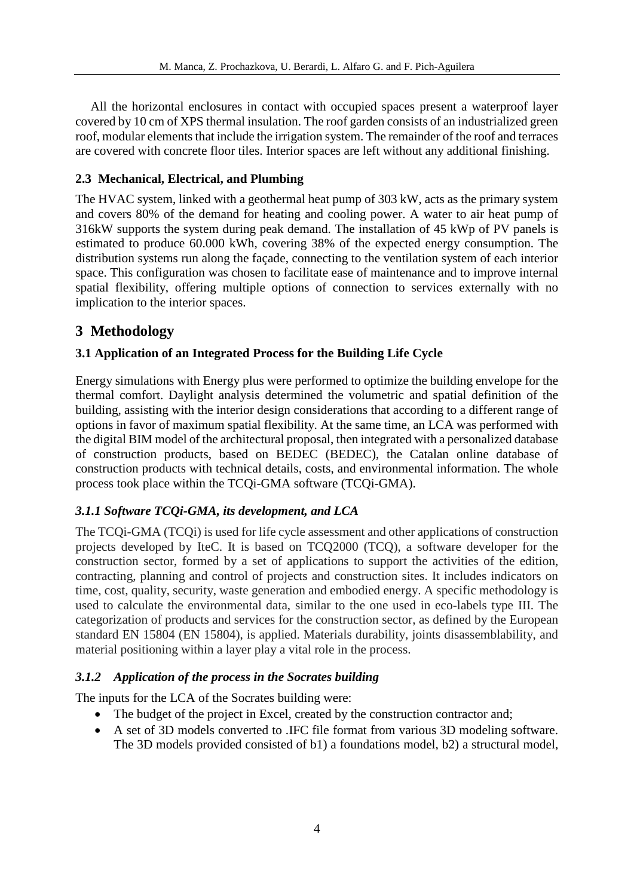All the horizontal enclosures in contact with occupied spaces present a waterproof layer covered by 10 cm of XPS thermal insulation. The roof garden consists of an industrialized green roof, modular elements that include the irrigation system. The remainder of the roof and terraces are covered with concrete floor tiles. Interior spaces are left without any additional finishing.

## **2.3 Mechanical, Electrical, and Plumbing**

The HVAC system, linked with a geothermal heat pump of 303 kW, acts as the primary system and covers 80% of the demand for heating and cooling power. A water to air heat pump of 316kW supports the system during peak demand. The installation of 45 kWp of PV panels is estimated to produce 60.000 kWh, covering 38% of the expected energy consumption. The distribution systems run along the façade, connecting to the ventilation system of each interior space. This configuration was chosen to facilitate ease of maintenance and to improve internal spatial flexibility, offering multiple options of connection to services externally with no implication to the interior spaces.

# **3 Methodology**

## **3.1 Application of an Integrated Process for the Building Life Cycle**

Energy simulations with Energy plus were performed to optimize the building envelope for the thermal comfort. Daylight analysis determined the volumetric and spatial definition of the building, assisting with the interior design considerations that according to a different range of options in favor of maximum spatial flexibility. At the same time, an LCA was performed with the digital BIM model of the architectural proposal, then integrated with a personalized database of construction products, based on BEDEC (BEDEC), the Catalan online database of construction products with technical details, costs, and environmental information. The whole process took place within the TCQi-GMA software (TCQi-GMA).

## *3.1.1 Software TCQi-GMA, its development, and LCA*

The TCQi-GMA (TCQi) is used for life cycle assessment and other applications of construction projects developed by IteC. It is based on TCQ2000 (TCQ), a software developer for the construction sector, formed by a set of applications to support the activities of the edition, contracting, planning and control of projects and construction sites. It includes indicators on time, cost, quality, security, waste generation and embodied energy. A specific methodology is used to calculate the environmental data, similar to the one used in eco-labels type III. The categorization of products and services for the construction sector, as defined by the European standard EN 15804 (EN 15804), is applied. Materials durability, joints disassemblability, and material positioning within a layer play a vital role in the process.

## *3.1.2 Application of the process in the Socrates building*

The inputs for the LCA of the Socrates building were:

- The budget of the project in Excel, created by the construction contractor and;
- A set of 3D models converted to .IFC file format from various 3D modeling software. The 3D models provided consisted of b1) a foundations model, b2) a structural model,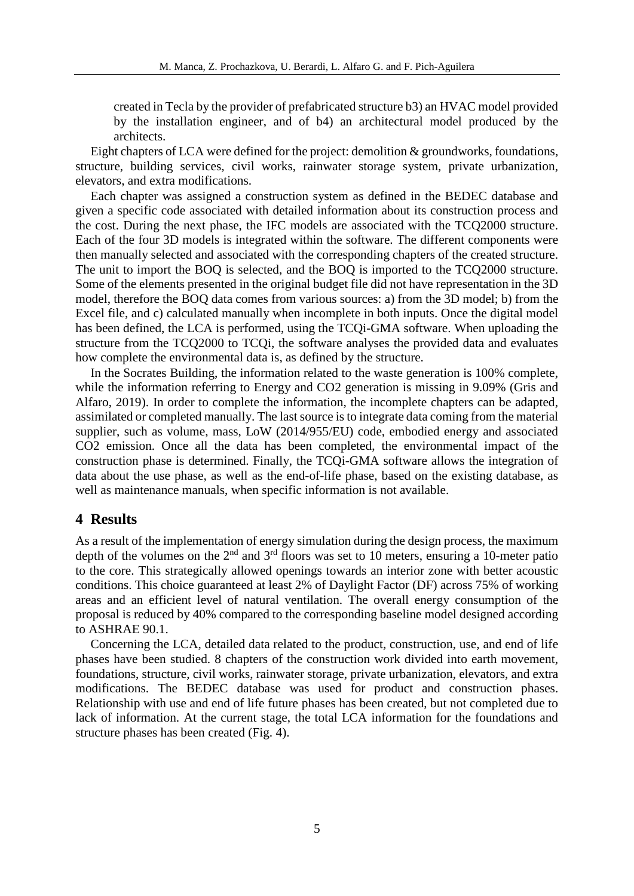created in Tecla by the provider of prefabricated structure b3) an HVAC model provided by the installation engineer, and of b4) an architectural model produced by the architects.

Eight chapters of LCA were defined for the project: demolition  $\&$  groundworks, foundations, structure, building services, civil works, rainwater storage system, private urbanization, elevators, and extra modifications.

Each chapter was assigned a construction system as defined in the BEDEC database and given a specific code associated with detailed information about its construction process and the cost. During the next phase, the IFC models are associated with the TCQ2000 structure. Each of the four 3D models is integrated within the software. The different components were then manually selected and associated with the corresponding chapters of the created structure. The unit to import the BOQ is selected, and the BOQ is imported to the TCQ2000 structure. Some of the elements presented in the original budget file did not have representation in the 3D model, therefore the BOQ data comes from various sources: a) from the 3D model; b) from the Excel file, and c) calculated manually when incomplete in both inputs. Once the digital model has been defined, the LCA is performed, using the TCQi-GMA software. When uploading the structure from the TCQ2000 to TCQi, the software analyses the provided data and evaluates how complete the environmental data is, as defined by the structure.

In the Socrates Building, the information related to the waste generation is 100% complete, while the information referring to Energy and CO2 generation is missing in 9.09% (Gris and Alfaro, 2019). In order to complete the information, the incomplete chapters can be adapted, assimilated or completed manually. The last source is to integrate data coming from the material supplier, such as volume, mass, LoW (2014/955/EU) code, embodied energy and associated CO2 emission. Once all the data has been completed, the environmental impact of the construction phase is determined. Finally, the TCQi-GMA software allows the integration of data about the use phase, as well as the end-of-life phase, based on the existing database, as well as maintenance manuals, when specific information is not available.

#### **4 Results**

As a result of the implementation of energy simulation during the design process, the maximum depth of the volumes on the  $2<sup>nd</sup>$  and  $3<sup>rd</sup>$  floors was set to 10 meters, ensuring a 10-meter patio to the core. This strategically allowed openings towards an interior zone with better acoustic conditions. This choice guaranteed at least 2% of Daylight Factor (DF) across 75% of working areas and an efficient level of natural ventilation. The overall energy consumption of the proposal is reduced by 40% compared to the corresponding baseline model designed according to ASHRAE 90.1.

Concerning the LCA, detailed data related to the product, construction, use, and end of life phases have been studied. 8 chapters of the construction work divided into earth movement, foundations, structure, civil works, rainwater storage, private urbanization, elevators, and extra modifications. The BEDEC database was used for product and construction phases. Relationship with use and end of life future phases has been created, but not completed due to lack of information. At the current stage, the total LCA information for the foundations and structure phases has been created (Fig. 4).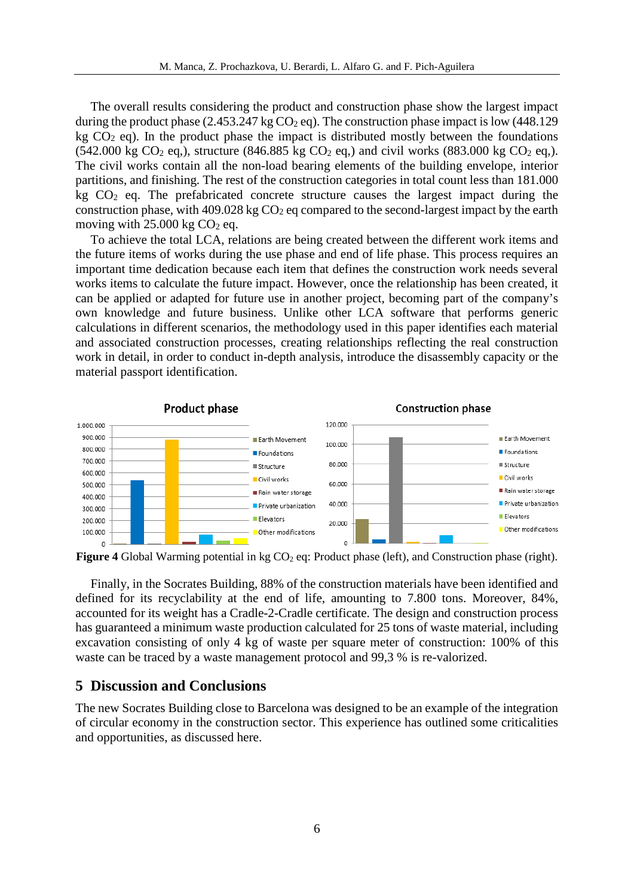The overall results considering the product and construction phase show the largest impact during the product phase  $(2.453.247 \text{ kg CO}_2 \text{ eq})$ . The construction phase impact is low  $(448.129$ kg  $CO<sub>2</sub>$  eq). In the product phase the impact is distributed mostly between the foundations  $(542.000 \text{ kg CO}_2 \text{ eq.})$ , structure  $(846.885 \text{ kg CO}_2 \text{ eq.})$  and civil works  $(883.000 \text{ kg CO}_2 \text{ eq.})$ . The civil works contain all the non-load bearing elements of the building envelope, interior partitions, and finishing. The rest of the construction categories in total count less than 181.000 kg  $CO<sub>2</sub>$  eq. The prefabricated concrete structure causes the largest impact during the construction phase, with  $409.028 \text{ kg CO}_2$  eq compared to the second-largest impact by the earth moving with  $25.000$  kg  $CO<sub>2</sub>$  eq.

To achieve the total LCA, relations are being created between the different work items and the future items of works during the use phase and end of life phase. This process requires an important time dedication because each item that defines the construction work needs several works items to calculate the future impact. However, once the relationship has been created, it can be applied or adapted for future use in another project, becoming part of the company's own knowledge and future business. Unlike other LCA software that performs generic calculations in different scenarios, the methodology used in this paper identifies each material and associated construction processes, creating relationships reflecting the real construction work in detail, in order to conduct in-depth analysis, introduce the disassembly capacity or the material passport identification.



**Figure 4** Global Warming potential in kg CO<sub>2</sub> eq: Product phase (left), and Construction phase (right).

Finally, in the Socrates Building, 88% of the construction materials have been identified and defined for its recyclability at the end of life, amounting to 7.800 tons. Moreover, 84%, accounted for its weight has a Cradle-2-Cradle certificate. The design and construction process has guaranteed a minimum waste production calculated for 25 tons of waste material, including excavation consisting of only 4 kg of waste per square meter of construction: 100% of this waste can be traced by a waste management protocol and 99,3 % is re-valorized.

#### **5 Discussion and Conclusions**

The new Socrates Building close to Barcelona was designed to be an example of the integration of circular economy in the construction sector. This experience has outlined some criticalities and opportunities, as discussed here.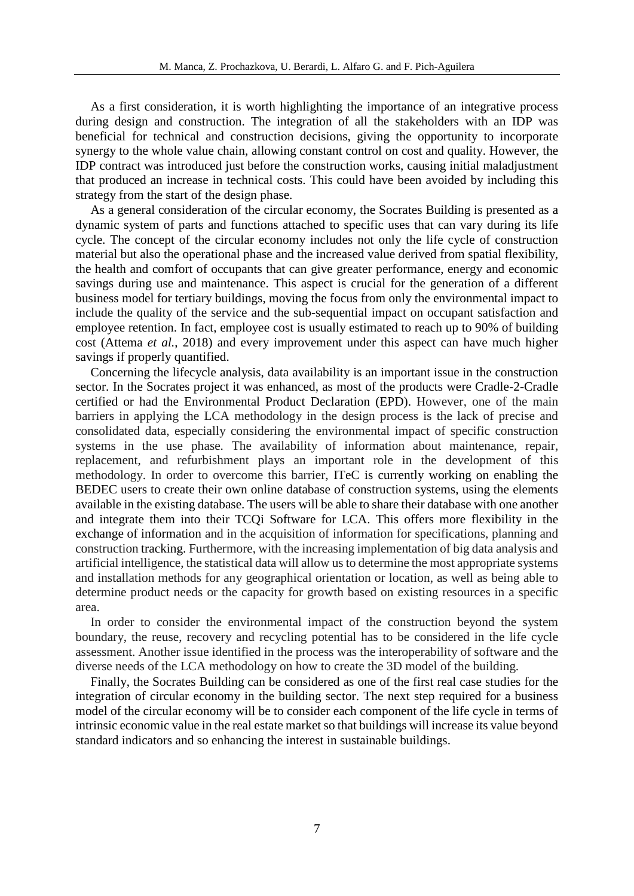As a first consideration, it is worth highlighting the importance of an integrative process during design and construction. The integration of all the stakeholders with an IDP was beneficial for technical and construction decisions, giving the opportunity to incorporate synergy to the whole value chain, allowing constant control on cost and quality. However, the IDP contract was introduced just before the construction works, causing initial maladjustment that produced an increase in technical costs. This could have been avoided by including this strategy from the start of the design phase.

As a general consideration of the circular economy, the Socrates Building is presented as a dynamic system of parts and functions attached to specific uses that can vary during its life cycle. The concept of the circular economy includes not only the life cycle of construction material but also the operational phase and the increased value derived from spatial flexibility, the health and comfort of occupants that can give greater performance, energy and economic savings during use and maintenance. This aspect is crucial for the generation of a different business model for tertiary buildings, moving the focus from only the environmental impact to include the quality of the service and the sub-sequential impact on occupant satisfaction and employee retention. In fact, employee cost is usually estimated to reach up to 90% of building cost (Attema *et al.*, 2018) and every improvement under this aspect can have much higher savings if properly quantified.

Concerning the lifecycle analysis, data availability is an important issue in the construction sector. In the Socrates project it was enhanced, as most of the products were Cradle-2-Cradle certified or had the Environmental Product Declaration (EPD). However, one of the main barriers in applying the LCA methodology in the design process is the lack of precise and consolidated data, especially considering the environmental impact of specific construction systems in the use phase. The availability of information about maintenance, repair, replacement, and refurbishment plays an important role in the development of this methodology. In order to overcome this barrier, ITeC is currently working on enabling the BEDEC users to create their own online database of construction systems, using the elements available in the existing database. The users will be able to share their database with one another and integrate them into their TCQi Software for LCA. This offers more flexibility in the exchange of information and in the acquisition of information for specifications, planning and construction tracking. Furthermore, with the increasing implementation of big data analysis and artificial intelligence, the statistical data will allow us to determine the most appropriate systems and installation methods for any geographical orientation or location, as well as being able to determine product needs or the capacity for growth based on existing resources in a specific area.

In order to consider the environmental impact of the construction beyond the system boundary, the reuse, recovery and recycling potential has to be considered in the life cycle assessment. Another issue identified in the process was the interoperability of software and the diverse needs of the LCA methodology on how to create the 3D model of the building.

Finally, the Socrates Building can be considered as one of the first real case studies for the integration of circular economy in the building sector. The next step required for a business model of the circular economy will be to consider each component of the life cycle in terms of intrinsic economic value in the real estate market so that buildings will increase its value beyond standard indicators and so enhancing the interest in sustainable buildings.